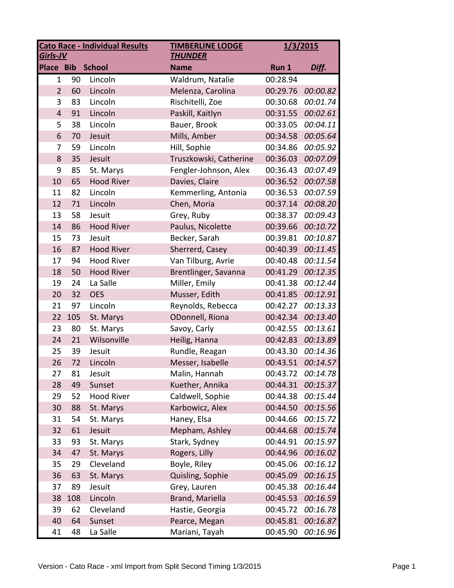| <b>Cato Race - Individual Results</b><br><b>TIMBERLINE LODGE</b><br>Girls-JV<br><b>THUNDER</b> |     | 1/3/2015          |                        |          |          |
|------------------------------------------------------------------------------------------------|-----|-------------------|------------------------|----------|----------|
| <b>Place Bib</b>                                                                               |     | <b>School</b>     | <b>Name</b>            | Run 1    | Diff.    |
| $\mathbf{1}$                                                                                   | 90  | Lincoln           | Waldrum, Natalie       | 00:28.94 |          |
| $\overline{2}$                                                                                 | 60  | Lincoln           | Melenza, Carolina      | 00:29.76 | 00:00.82 |
| 3                                                                                              | 83  | Lincoln           | Rischitelli, Zoe       | 00:30.68 | 00:01.74 |
| $\overline{4}$                                                                                 | 91  | Lincoln           | Paskill, Kaitlyn       | 00:31.55 | 00:02.61 |
| 5                                                                                              | 38  | Lincoln           | Bauer, Brook           | 00:33.05 | 00:04.11 |
| 6                                                                                              | 70  | Jesuit            | Mills, Amber           | 00:34.58 | 00:05.64 |
| 7                                                                                              | 59  | Lincoln           | Hill, Sophie           | 00:34.86 | 00:05.92 |
| 8                                                                                              | 35  | Jesuit            | Truszkowski, Catherine | 00:36.03 | 00:07.09 |
| 9                                                                                              | 85  | St. Marys         | Fengler-Johnson, Alex  | 00:36.43 | 00:07.49 |
| 10                                                                                             | 65  | <b>Hood River</b> | Davies, Claire         | 00:36.52 | 00:07.58 |
| 11                                                                                             | 82  | Lincoln           | Kemmerling, Antonia    | 00:36.53 | 00:07.59 |
| 12                                                                                             | 71  | Lincoln           | Chen, Moria            | 00:37.14 | 00:08.20 |
| 13                                                                                             | 58  | Jesuit            | Grey, Ruby             | 00:38.37 | 00:09.43 |
| 14                                                                                             | 86  | <b>Hood River</b> | Paulus, Nicolette      | 00:39.66 | 00:10.72 |
| 15                                                                                             | 73  | Jesuit            | Becker, Sarah          | 00:39.81 | 00:10.87 |
| 16                                                                                             | 87  | <b>Hood River</b> | Sherrerd, Casey        | 00:40.39 | 00:11.45 |
| 17                                                                                             | 94  | <b>Hood River</b> | Van Tilburg, Avrie     | 00:40.48 | 00:11.54 |
| 18                                                                                             | 50  | <b>Hood River</b> | Brentlinger, Savanna   | 00:41.29 | 00:12.35 |
| 19                                                                                             | 24  | La Salle          | Miller, Emily          | 00:41.38 | 00:12.44 |
| 20                                                                                             | 32  | <b>OES</b>        | Musser, Edith          | 00:41.85 | 00:12.91 |
| 21                                                                                             | 97  | Lincoln           | Reynolds, Rebecca      | 00:42.27 | 00:13.33 |
| 22                                                                                             | 105 | St. Marys         | ODonnell, Riona        | 00:42.34 | 00:13.40 |
| 23                                                                                             | 80  | St. Marys         | Savoy, Carly           | 00:42.55 | 00:13.61 |
| 24                                                                                             | 21  | Wilsonville       | Heilig, Hanna          | 00:42.83 | 00:13.89 |
| 25                                                                                             | 39  | Jesuit            | Rundle, Reagan         | 00:43.30 | 00:14.36 |
| 26                                                                                             | 72  | Lincoln           | Messer, Isabelle       | 00:43.51 | 00:14.57 |
| 27                                                                                             | 81  | Jesuit            | Malin, Hannah          | 00:43.72 | 00:14.78 |
| 28                                                                                             | 49  | Sunset            | Kuether, Annika        | 00:44.31 | 00:15.37 |
| 29                                                                                             | 52  | <b>Hood River</b> | Caldwell, Sophie       | 00:44.38 | 00:15.44 |
| 30                                                                                             | 88  | St. Marys         | Karbowicz, Alex        | 00:44.50 | 00:15.56 |
| 31                                                                                             | 54  | St. Marys         | Haney, Elsa            | 00:44.66 | 00:15.72 |
| 32                                                                                             | 61  | Jesuit            | Mepham, Ashley         | 00:44.68 | 00:15.74 |
| 33                                                                                             | 93  | St. Marys         | Stark, Sydney          | 00:44.91 | 00:15.97 |
| 34                                                                                             | 47  | St. Marys         | Rogers, Lilly          | 00:44.96 | 00:16.02 |
| 35                                                                                             | 29  | Cleveland         | Boyle, Riley           | 00:45.06 | 00:16.12 |
| 36                                                                                             | 63  | St. Marys         | Quisling, Sophie       | 00:45.09 | 00:16.15 |
| 37                                                                                             | 89  | Jesuit            | Grey, Lauren           | 00:45.38 | 00:16.44 |
| 38                                                                                             | 108 | Lincoln           | Brand, Mariella        | 00:45.53 | 00:16.59 |
| 39                                                                                             | 62  | Cleveland         | Hastie, Georgia        | 00:45.72 | 00:16.78 |
| 40                                                                                             | 64  | Sunset            | Pearce, Megan          | 00:45.81 | 00:16.87 |
| 41                                                                                             | 48  | La Salle          | Mariani, Tayah         | 00:45.90 | 00:16.96 |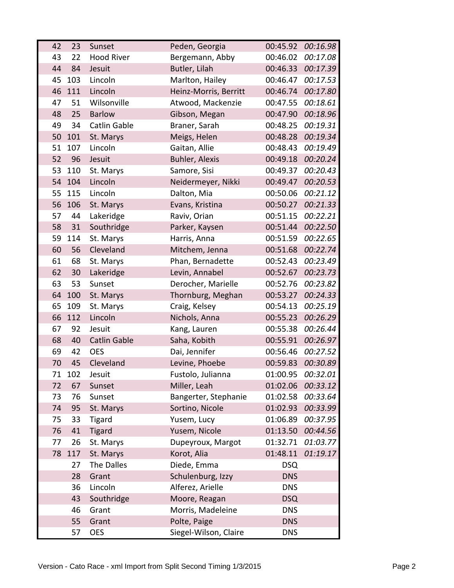| 42 | 23  | Sunset              | Peden, Georgia        | 00:45.92   | 00:16.98        |
|----|-----|---------------------|-----------------------|------------|-----------------|
| 43 | 22  | <b>Hood River</b>   | Bergemann, Abby       | 00:46.02   | 00:17.08        |
| 44 | 84  | Jesuit              | Butler, Lilah         | 00:46.33   | 00:17.39        |
| 45 | 103 | Lincoln             | Marlton, Hailey       | 00:46.47   | 00:17.53        |
| 46 | 111 | Lincoln             | Heinz-Morris, Berritt | 00:46.74   | 00:17.80        |
| 47 | 51  | Wilsonville         | Atwood, Mackenzie     | 00:47.55   | 00:18.61        |
| 48 | 25  | <b>Barlow</b>       | Gibson, Megan         | 00:47.90   | 00:18.96        |
| 49 | 34  | <b>Catlin Gable</b> | Braner, Sarah         | 00:48.25   | 00:19.31        |
| 50 | 101 | St. Marys           | Meigs, Helen          | 00:48.28   | 00:19.34        |
| 51 | 107 | Lincoln             | Gaitan, Allie         | 00:48.43   | 00:19.49        |
| 52 | 96  | Jesuit              | <b>Buhler, Alexis</b> | 00:49.18   | 00:20.24        |
| 53 | 110 | St. Marys           | Samore, Sisi          | 00:49.37   | 00:20.43        |
| 54 | 104 | Lincoln             | Neidermeyer, Nikki    | 00:49.47   | 00:20.53        |
| 55 | 115 | Lincoln             | Dalton, Mia           | 00:50.06   | 00:21.12        |
| 56 | 106 | St. Marys           | Evans, Kristina       | 00:50.27   | 00:21.33        |
| 57 | 44  | Lakeridge           | Raviv, Orian          | 00:51.15   | 00:22.21        |
| 58 | 31  | Southridge          | Parker, Kaysen        | 00:51.44   | 00:22.50        |
| 59 | 114 | St. Marys           | Harris, Anna          | 00:51.59   | 00:22.65        |
| 60 | 56  | Cleveland           | Mitchem, Jenna        | 00:51.68   | 00:22.74        |
| 61 | 68  | St. Marys           | Phan, Bernadette      | 00:52.43   | 00:23.49        |
| 62 | 30  | Lakeridge           | Levin, Annabel        | 00:52.67   | 00:23.73        |
| 63 | 53  | Sunset              | Derocher, Marielle    | 00:52.76   | 00:23.82        |
| 64 | 100 | St. Marys           | Thornburg, Meghan     | 00:53.27   | 00:24.33        |
| 65 | 109 | St. Marys           | Craig, Kelsey         | 00:54.13   | 00:25.19        |
| 66 | 112 | Lincoln             | Nichols, Anna         | 00:55.23   | 00:26.29        |
| 67 | 92  | Jesuit              | Kang, Lauren          | 00:55.38   | 00:26.44        |
| 68 | 40  | <b>Catlin Gable</b> | Saha, Kobith          | 00:55.91   | 00:26.97        |
| 69 | 42  | <b>OES</b>          | Dai, Jennifer         | 00:56.46   | 00:27.52        |
| 70 | 45  | Cleveland           | Levine, Phoebe        | 00:59.83   | 00:30.89        |
| 71 | 102 | Jesuit              | Fustolo, Julianna     | 01:00.95   | <i>00:32.01</i> |
| 72 | 67  | Sunset              | Miller, Leah          | 01:02.06   | 00:33.12        |
| 73 | 76  | Sunset              | Bangerter, Stephanie  | 01:02.58   | 00:33.64        |
| 74 | 95  | St. Marys           | Sortino, Nicole       | 01:02.93   | 00:33.99        |
| 75 | 33  | <b>Tigard</b>       | Yusem, Lucy           | 01:06.89   | 00:37.95        |
| 76 | 41  | <b>Tigard</b>       | Yusem, Nicole         | 01:13.50   | 00:44.56        |
| 77 | 26  | St. Marys           | Dupeyroux, Margot     | 01:32.71   | 01:03.77        |
| 78 | 117 | St. Marys           | Korot, Alia           | 01:48.11   | 01:19.17        |
|    | 27  | The Dalles          | Diede, Emma           | <b>DSQ</b> |                 |
|    | 28  | Grant               | Schulenburg, Izzy     | <b>DNS</b> |                 |
|    | 36  | Lincoln             | Alferez, Arielle      | <b>DNS</b> |                 |
|    | 43  | Southridge          | Moore, Reagan         | <b>DSQ</b> |                 |
|    | 46  | Grant               | Morris, Madeleine     | <b>DNS</b> |                 |
|    | 55  | Grant               | Polte, Paige          | <b>DNS</b> |                 |
|    | 57  | <b>OES</b>          | Siegel-Wilson, Claire | <b>DNS</b> |                 |